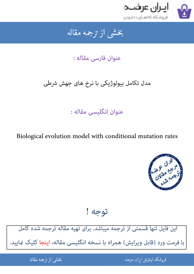

#### بخشى از ترجمه مقاله شی از تر بخشی از :

## عنوان فارسی مقاله :

# مدل تکامل بیولوژیکی با نرخ های جهش شرطی

# عنوان انگلیسی مقاله :

### Biological evolution model with conditional mutation rates



توجه !

این فایل تنها قسمتی از ترجمه میباشد. برای تهیه مقاله ترجمه شده کامل با فرمت ورد [\(قابل ویرایش\) همراه با نسخه انگلیسی مقاله، اینجا کلیک Lایید.](http://iranarze.ir/biological+evolution+model+conditional+mutation+rates)

> .<br>ه المواقع المواقع المواقع المواقع المواقع المواقع المواقع المواقع المواقع المواقع المواقع المواقع المواقع المو ֦֧֧֚֚֚֚֚֚֚֚֚֚֚֚֚֚֚֚֚֚֚֚֚֬֡֡֡֡֡֡֡֡֡֡֬֓֡֬֝֝֓֡ فروشگاه اینترنتی ایر

ان عرضه مقاله از ترجمه مقاله استخدام استخدام العامل العامل العامل العامل العامل العامل العامل العامل العامل ال